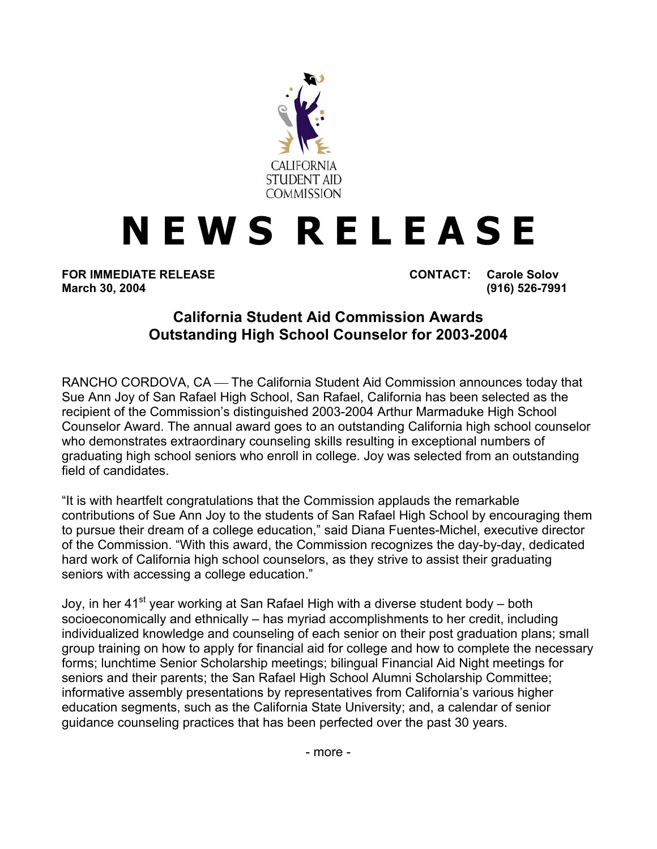

## **N E W S R E L E A S E**

**FOR IMMEDIATE RELEASE CONTACT: Carole Solov** 

**March 30, 2004 (916) 526-7991** 

## **California Student Aid Commission Awards Outstanding High School Counselor for 2003-2004**

RANCHO CORDOVA, CA — The California Student Aid Commission announces today that Sue Ann Joy of San Rafael High School, San Rafael, California has been selected as the recipient of the Commission's distinguished 2003-2004 Arthur Marmaduke High School Counselor Award. The annual award goes to an outstanding California high school counselor who demonstrates extraordinary counseling skills resulting in exceptional numbers of graduating high school seniors who enroll in college. Joy was selected from an outstanding field of candidates.

"It is with heartfelt congratulations that the Commission applauds the remarkable contributions of Sue Ann Joy to the students of San Rafael High School by encouraging them to pursue their dream of a college education," said Diana Fuentes-Michel, executive director of the Commission. "With this award, the Commission recognizes the day-by-day, dedicated hard work of California high school counselors, as they strive to assist their graduating seniors with accessing a college education."

Joy, in her 41<sup>st</sup> year working at San Rafael High with a diverse student body – both socioeconomically and ethnically – has myriad accomplishments to her credit, including individualized knowledge and counseling of each senior on their post graduation plans; small group training on how to apply for financial aid for college and how to complete the necessary forms; lunchtime Senior Scholarship meetings; bilingual Financial Aid Night meetings for seniors and their parents; the San Rafael High School Alumni Scholarship Committee; informative assembly presentations by representatives from California's various higher education segments, such as the California State University; and, a calendar of senior guidance counseling practices that has been perfected over the past 30 years.